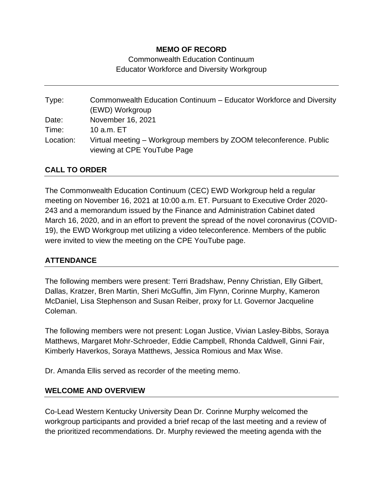### **MEMO OF RECORD**

Commonwealth Education Continuum Educator Workforce and Diversity Workgroup

Type: Commonwealth Education Continuum – Educator Workforce and Diversity (EWD) Workgroup Date: November 16, 2021 Time: 10 a.m. ET Location: Virtual meeting – Workgroup members by ZOOM teleconference. Public viewing at CPE YouTube Page

## **CALL TO ORDER**

The Commonwealth Education Continuum (CEC) EWD Workgroup held a regular meeting on November 16, 2021 at 10:00 a.m. ET. Pursuant to Executive Order 2020- 243 and a memorandum issued by the Finance and Administration Cabinet dated March 16, 2020, and in an effort to prevent the spread of the novel coronavirus (COVID-19), the EWD Workgroup met utilizing a video teleconference. Members of the public were invited to view the meeting on the CPE YouTube page.

### **ATTENDANCE**

The following members were present: Terri Bradshaw, Penny Christian, Elly Gilbert, Dallas, Kratzer, Bren Martin, Sheri McGuffin, Jim Flynn, Corinne Murphy, Kameron McDaniel, Lisa Stephenson and Susan Reiber, proxy for Lt. Governor Jacqueline Coleman.

The following members were not present: Logan Justice, Vivian Lasley-Bibbs, Soraya Matthews, Margaret Mohr-Schroeder, Eddie Campbell, Rhonda Caldwell, Ginni Fair, Kimberly Haverkos, Soraya Matthews, Jessica Romious and Max Wise.

Dr. Amanda Ellis served as recorder of the meeting memo.

#### **WELCOME AND OVERVIEW**

Co-Lead Western Kentucky University Dean Dr. Corinne Murphy welcomed the workgroup participants and provided a brief recap of the last meeting and a review of the prioritized recommendations. Dr. Murphy reviewed the meeting agenda with the